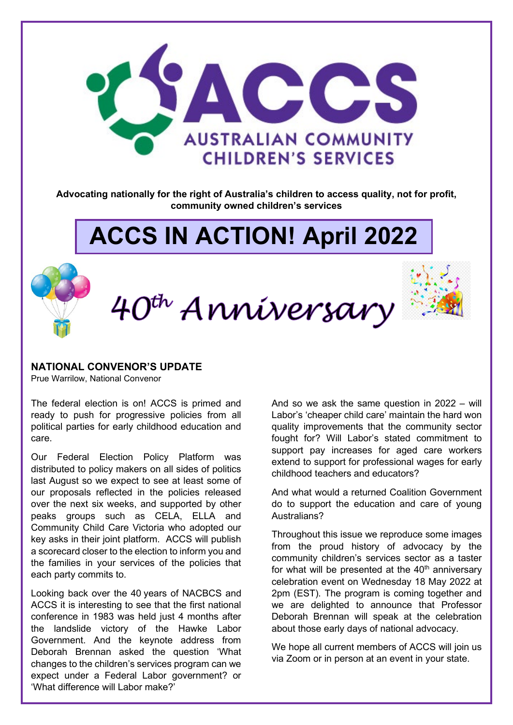

**Advocating nationally for the right of Australia's children to access quality, not for profit, community owned children's services**

# **ACCS IN ACTION! April 2022**

40<sup>th</sup> Anniversary



### **NATIONAL CONVENOR'S UPDATE**

Prue Warrilow, National Convenor

The federal election is on! ACCS is primed and ready to push for progressive policies from all political parties for early childhood education and care.

Our Federal Election Policy Platform was distributed to policy makers on all sides of politics last August so we expect to see at least some of our proposals reflected in the policies released over the next six weeks, and supported by other peaks groups such as CELA, ELLA and Community Child Care Victoria who adopted our key asks in their joint platform. ACCS will publish a scorecard closer to the election to inform you and the families in your services of the policies that each party commits to.

Looking back over the 40 years of NACBCS and ACCS it is interesting to see that the first national conference in 1983 was held just 4 months after the landslide victory of the Hawke Labor Government. And the keynote address from Deborah Brennan asked the question 'What changes to the children's services program can we expect under a Federal Labor government? or 'What difference will Labor make?'

And so we ask the same question in 2022 – will Labor's 'cheaper child care' maintain the hard won quality improvements that the community sector fought for? Will Labor's stated commitment to support pay increases for aged care workers extend to support for professional wages for early childhood teachers and educators?

And what would a returned Coalition Government do to support the education and care of young Australians?

Throughout this issue we reproduce some images from the proud history of advocacy by the community children's services sector as a taster for what will be presented at the  $40<sup>th</sup>$  anniversary celebration event on Wednesday 18 May 2022 at 2pm (EST). The program is coming together and we are delighted to announce that Professor Deborah Brennan will speak at the celebration about those early days of national advocacy.

We hope all current members of ACCS will join us via Zoom or in person at an event in your state.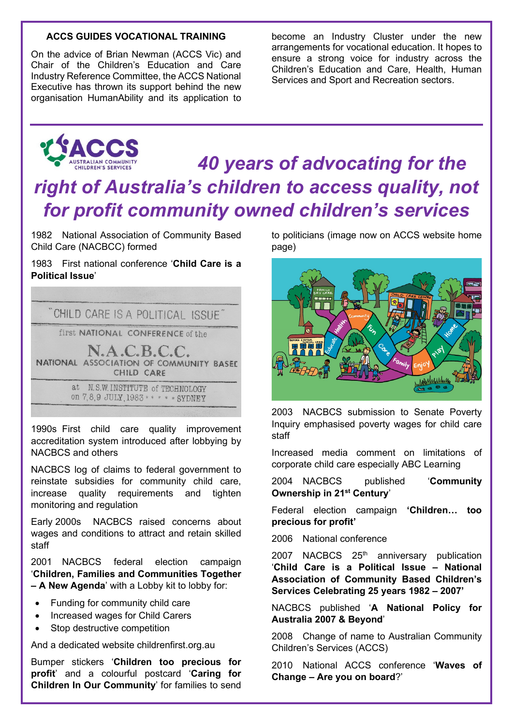### **ACCS GUIDES VOCATIONAL TRAINING**

On the advice of Brian Newman (ACCS Vic) and Chair of the Children's Education and Care Industry Reference Committee, the ACCS National Executive has thrown its support behind the new organisation HumanAbility and its application to

become an Industry Cluster under the new arrangements for vocational education. It hopes to ensure a strong voice for industry across the Children's Education and Care, Health, Human Services and Sport and Recreation sectors.



## *40 years of advocating for the right of Australia's children to access quality, not for profit community owned children's services*

1982 National Association of Community Based Child Care (NACBCC) formed

1983 First national conference '**Child Care is a Political Issue**'



1990s First child care quality improvement accreditation system introduced after lobbying by NACBCS and others

NACBCS log of claims to federal government to reinstate subsidies for community child care, increase quality requirements and tighten monitoring and regulation

Early 2000s NACBCS raised concerns about wages and conditions to attract and retain skilled staff

2001 NACBCS federal election campaign '**Children, Families and Communities Together – A New Agenda**' with a Lobby kit to lobby for:

- Funding for community child care
- Increased wages for Child Carers
- Stop destructive competition

And a dedicated website childrenfirst.org.au

Bumper stickers '**Children too precious for profit**' and a colourful postcard '**Caring for Children In Our Community**' for families to send to politicians (image now on ACCS website home page)



2003 NACBCS submission to Senate Poverty Inquiry emphasised poverty wages for child care staff

Increased media comment on limitations of corporate child care especially ABC Learning

2004 NACBCS published '**Community Ownership in 21st Century**'

Federal election campaign **'Children… too precious for profit'**

2006 National conference

2007 NACBCS 25<sup>th</sup> anniversary publication '**Child Care is a Political Issue – National Association of Community Based Children's Services Celebrating 25 years 1982 – 2007'**

NACBCS published '**A National Policy for Australia 2007 & Beyond**'

2008 Change of name to Australian Community Children's Services (ACCS)

2010 National ACCS conference '**Waves of Change – Are you on board**?'